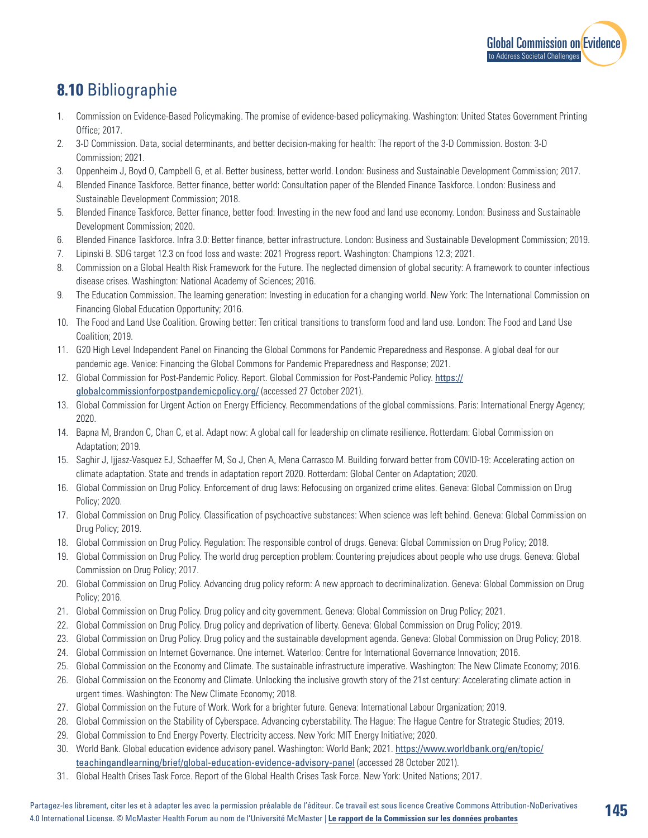

**145**

## **8.10** Bibliographie

- 1. Commission on Evidence-Based Policymaking. The promise of evidence-based policymaking. Washington: United States Government Printing Office; 2017.
- 2. 3-D Commission. Data, social determinants, and better decision-making for health: The report of the 3-D Commission. Boston: 3-D Commission; 2021.
- 3. Oppenheim J, Boyd O, Campbell G, et al. Better business, better world. London: Business and Sustainable Development Commission; 2017.
- 4. Blended Finance Taskforce. Better finance, better world: Consultation paper of the Blended Finance Taskforce. London: Business and Sustainable Development Commission; 2018.
- 5. Blended Finance Taskforce. Better finance, better food: Investing in the new food and land use economy. London: Business and Sustainable Development Commission; 2020.
- 6. Blended Finance Taskforce. Infra 3.0: Better finance, better infrastructure. London: Business and Sustainable Development Commission; 2019.
- 7. Lipinski B. SDG target 12.3 on food loss and waste: 2021 Progress report. Washington: Champions 12.3; 2021.
- 8. Commission on a Global Health Risk Framework for the Future. The neglected dimension of global security: A framework to counter infectious disease crises. Washington: National Academy of Sciences; 2016.
- 9. The Education Commission. The learning generation: Investing in education for a changing world. New York: The International Commission on Financing Global Education Opportunity; 2016.
- 10. The Food and Land Use Coalition. Growing better: Ten critical transitions to transform food and land use. London: The Food and Land Use Coalition; 2019.
- 11. G20 High Level Independent Panel on Financing the Global Commons for Pandemic Preparedness and Response. A global deal for our pandemic age. Venice: Financing the Global Commons for Pandemic Preparedness and Response; 2021.
- 12. Global Commission for Post-Pandemic Policy. Report. Global Commission for Post-Pandemic Policy. [https://](https://globalcommissionforpostpandemicpolicy.org/) [globalcommissionforpostpandemicpolicy.org/](https://globalcommissionforpostpandemicpolicy.org/) (accessed 27 October 2021).
- 13. Global Commission for Urgent Action on Energy Efficiency. Recommendations of the global commissions. Paris: International Energy Agency; 2020.
- 14. Bapna M, Brandon C, Chan C, et al. Adapt now: A global call for leadership on climate resilience. Rotterdam: Global Commission on Adaptation; 2019.
- 15. Saghir J, Ijjasz-Vasquez EJ, Schaeffer M, So J, Chen A, Mena Carrasco M. Building forward better from COVID-19: Accelerating action on climate adaptation. State and trends in adaptation report 2020. Rotterdam: Global Center on Adaptation; 2020.
- 16. Global Commission on Drug Policy. Enforcement of drug laws: Refocusing on organized crime elites. Geneva: Global Commission on Drug Policy; 2020.
- 17. Global Commission on Drug Policy. Classification of psychoactive substances: When science was left behind. Geneva: Global Commission on Drug Policy; 2019.
- 18. Global Commission on Drug Policy. Regulation: The responsible control of drugs. Geneva: Global Commission on Drug Policy; 2018.
- 19. Global Commission on Drug Policy. The world drug perception problem: Countering prejudices about people who use drugs. Geneva: Global Commission on Drug Policy; 2017.
- 20. Global Commission on Drug Policy. Advancing drug policy reform: A new approach to decriminalization. Geneva: Global Commission on Drug Policy; 2016.
- 21. Global Commission on Drug Policy. Drug policy and city government. Geneva: Global Commission on Drug Policy; 2021.
- 22. Global Commission on Drug Policy. Drug policy and deprivation of liberty. Geneva: Global Commission on Drug Policy; 2019.
- 23. Global Commission on Drug Policy. Drug policy and the sustainable development agenda. Geneva: Global Commission on Drug Policy; 2018.
- 24. Global Commission on Internet Governance. One internet. Waterloo: Centre for International Governance Innovation; 2016.
- 25. Global Commission on the Economy and Climate. The sustainable infrastructure imperative. Washington: The New Climate Economy; 2016.
- 26. Global Commission on the Economy and Climate. Unlocking the inclusive growth story of the 21st century: Accelerating climate action in urgent times. Washington: The New Climate Economy; 2018.
- 27. Global Commission on the Future of Work. Work for a brighter future. Geneva: International Labour Organization; 2019.
- 28. Global Commission on the Stability of Cyberspace. Advancing cyberstability. The Hague: The Hague Centre for Strategic Studies; 2019.
- 29. Global Commission to End Energy Poverty. Electricity access. New York: MIT Energy Initiative; 2020.
- 30. World Bank. Global education evidence advisory panel. Washington: World Bank; 2021. [https://www.worldbank.org/en/topic/](https://www.worldbank.org/en/topic/teachingandlearning/brief/global-education-evidence-advisory-panel) [teachingandlearning/brief/global-education-evidence-advisory-panel](https://www.worldbank.org/en/topic/teachingandlearning/brief/global-education-evidence-advisory-panel) (accessed 28 October 2021).
- 31. Global Health Crises Task Force. Report of the Global Health Crises Task Force. New York: United Nations; 2017.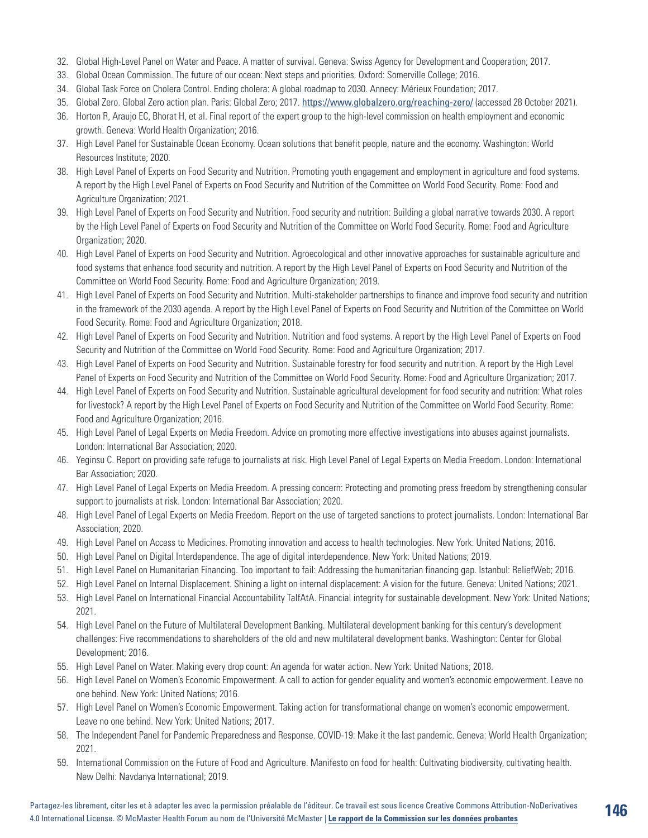- 32. Global High-Level Panel on Water and Peace. A matter of survival. Geneva: Swiss Agency for Development and Cooperation; 2017.
- 33. Global Ocean Commission. The future of our ocean: Next steps and priorities. Oxford: Somerville College; 2016.
- 34. Global Task Force on Cholera Control. Ending cholera: A global roadmap to 2030. Annecy: Mérieux Foundation; 2017.
- 35. Global Zero. Global Zero action plan. Paris: Global Zero; 2017. <https://www.globalzero.org/reaching-zero/> (accessed 28 October 2021).
- 36. Horton R, Araujo EC, Bhorat H, et al. Final report of the expert group to the high-level commission on health employment and economic growth. Geneva: World Health Organization; 2016.
- 37. High Level Panel for Sustainable Ocean Economy. Ocean solutions that benefit people, nature and the economy. Washington: World Resources Institute; 2020.
- 38. High Level Panel of Experts on Food Security and Nutrition. Promoting youth engagement and employment in agriculture and food systems. A report by the High Level Panel of Experts on Food Security and Nutrition of the Committee on World Food Security. Rome: Food and Agriculture Organization; 2021.
- 39. High Level Panel of Experts on Food Security and Nutrition. Food security and nutrition: Building a global narrative towards 2030. A report by the High Level Panel of Experts on Food Security and Nutrition of the Committee on World Food Security. Rome: Food and Agriculture Organization; 2020.
- 40. High Level Panel of Experts on Food Security and Nutrition. Agroecological and other innovative approaches for sustainable agriculture and food systems that enhance food security and nutrition. A report by the High Level Panel of Experts on Food Security and Nutrition of the Committee on World Food Security. Rome: Food and Agriculture Organization; 2019.
- 41. High Level Panel of Experts on Food Security and Nutrition. Multi-stakeholder partnerships to finance and improve food security and nutrition in the framework of the 2030 agenda. A report by the High Level Panel of Experts on Food Security and Nutrition of the Committee on World Food Security. Rome: Food and Agriculture Organization; 2018.
- 42. High Level Panel of Experts on Food Security and Nutrition. Nutrition and food systems. A report by the High Level Panel of Experts on Food Security and Nutrition of the Committee on World Food Security. Rome: Food and Agriculture Organization; 2017.
- 43. High Level Panel of Experts on Food Security and Nutrition. Sustainable forestry for food security and nutrition. A report by the High Level Panel of Experts on Food Security and Nutrition of the Committee on World Food Security. Rome: Food and Agriculture Organization; 2017.
- 44. High Level Panel of Experts on Food Security and Nutrition. Sustainable agricultural development for food security and nutrition: What roles for livestock? A report by the High Level Panel of Experts on Food Security and Nutrition of the Committee on World Food Security. Rome: Food and Agriculture Organization; 2016.
- 45. High Level Panel of Legal Experts on Media Freedom. Advice on promoting more effective investigations into abuses against journalists. London: International Bar Association; 2020.
- 46. Yeginsu C. Report on providing safe refuge to journalists at risk. High Level Panel of Legal Experts on Media Freedom. London: International Bar Association; 2020.
- 47. High Level Panel of Legal Experts on Media Freedom. A pressing concern: Protecting and promoting press freedom by strengthening consular support to journalists at risk. London: International Bar Association; 2020.
- 48. High Level Panel of Legal Experts on Media Freedom. Report on the use of targeted sanctions to protect journalists. London: International Bar Association; 2020.
- 49. High Level Panel on Access to Medicines. Promoting innovation and access to health technologies. New York: United Nations; 2016.
- 50. High Level Panel on Digital Interdependence. The age of digital interdependence. New York: United Nations; 2019.
- 51. High Level Panel on Humanitarian Financing. Too important to fail: Addressing the humanitarian financing gap. Istanbul: ReliefWeb; 2016.
- 52. High Level Panel on Internal Displacement. Shining a light on internal displacement: A vision for the future. Geneva: United Nations; 2021.
- 53. High Level Panel on International Financial Accountability TaIfAtA. Financial integrity for sustainable development. New York: United Nations; 2021.
- 54. High Level Panel on the Future of Multilateral Development Banking. Multilateral development banking for this century's development challenges: Five recommendations to shareholders of the old and new multilateral development banks. Washington: Center for Global Development; 2016.
- 55. High Level Panel on Water. Making every drop count: An agenda for water action. New York: United Nations; 2018.
- 56. High Level Panel on Women's Economic Empowerment. A call to action for gender equality and women's economic empowerment. Leave no one behind. New York: United Nations; 2016.
- 57. High Level Panel on Women's Economic Empowerment. Taking action for transformational change on women's economic empowerment. Leave no one behind. New York: United Nations; 2017.
- 58. The Independent Panel for Pandemic Preparedness and Response. COVID-19: Make it the last pandemic. Geneva: World Health Organization; 2021.
- 59. International Commission on the Future of Food and Agriculture. Manifesto on food for health: Cultivating biodiversity, cultivating health. New Delhi: Navdanya International; 2019.